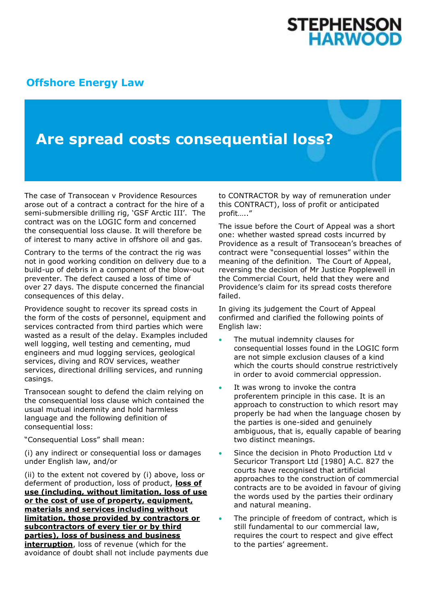## **STEPHENSON HARWOOD**

## **[Offshore Energy Law](http://www.offshoreenergylaw.com/)**

## **Are spread costs consequential loss?**

The case of Transocean v Providence Resources arose out of a contract a contract for the hire of a semi-submersible drilling rig, 'GSF Arctic III'. The contract was on the LOGIC form and concerned the consequential loss clause. It will therefore be of interest to many active in offshore oil and gas.

Contrary to the terms of the contract the rig was not in good working condition on delivery due to a build-up of debris in a component of the blow-out preventer. The defect caused a loss of time of over 27 days. The dispute concerned the financial consequences of this delay.

Providence sought to recover its spread costs in the form of the costs of personnel, equipment and services contracted from third parties which were wasted as a result of the delay. Examples included well logging, well testing and cementing, mud engineers and mud logging services, geological services, diving and ROV services, weather services, directional drilling services, and running casings.

Transocean sought to defend the claim relying on the consequential loss clause which contained the usual mutual indemnity and hold harmless language and the following definition of consequential loss:

"Consequential Loss" shall mean:

(i) any indirect or consequential loss or damages under English law, and/or

(ii) to the extent not covered by (i) above, loss or deferment of production, loss of product, **loss of use (including, without limitation, loss of use or the cost of use of property, equipment, materials and services including without limitation, those provided by contractors or subcontractors of every tier or by third parties), loss of business and business interruption**, loss of revenue (which for the avoidance of doubt shall not include payments due to CONTRACTOR by way of remuneration under this CONTRACT), loss of profit or anticipated profit….."

The issue before the Court of Appeal was a short one: whether wasted spread costs incurred by Providence as a result of Transocean's breaches of contract were "consequential losses" within the meaning of the definition. The Court of Appeal, reversing the decision of Mr Justice Popplewell in the Commercial Court, held that they were and Providence's claim for its spread costs therefore failed.

In giving its judgement the Court of Appeal confirmed and clarified the following points of English law:

- The mutual indemnity clauses for consequential losses found in the LOGIC form are not simple exclusion clauses of a kind which the courts should construe restrictively in order to avoid commercial oppression.
- It was wrong to invoke the contra proferentem principle in this case. It is an approach to construction to which resort may properly be had when the language chosen by the parties is one-sided and genuinely ambiguous, that is, equally capable of bearing two distinct meanings.
- Since the decision in Photo Production Ltd v Securicor Transport Ltd [1980] A.C. 827 the courts have recognised that artificial approaches to the construction of commercial contracts are to be avoided in favour of giving the words used by the parties their ordinary and natural meaning.
- The principle of freedom of contract, which is still fundamental to our commercial law, requires the court to respect and give effect to the parties' agreement.